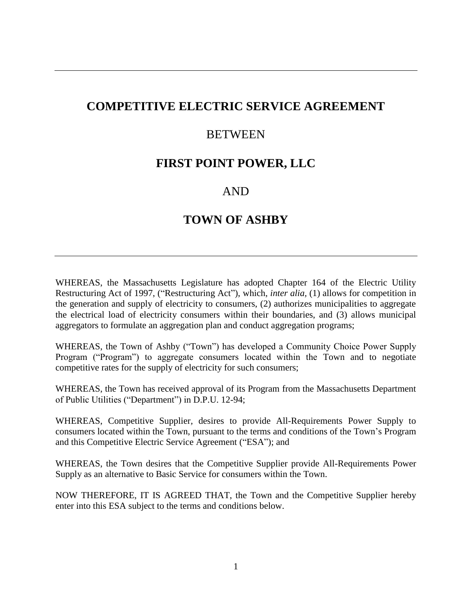# **COMPETITIVE ELECTRIC SERVICE AGREEMENT**

## **BETWEEN**

# **FIRST POINT POWER, LLC**

# AND

# **TOWN OF ASHBY**

WHEREAS, the Massachusetts Legislature has adopted Chapter 164 of the Electric Utility Restructuring Act of 1997, ("Restructuring Act"), which, *inter alia,* (1) allows for competition in the generation and supply of electricity to consumers, (2) authorizes municipalities to aggregate the electrical load of electricity consumers within their boundaries, and (3) allows municipal aggregators to formulate an aggregation plan and conduct aggregation programs;

WHEREAS, the Town of Ashby ("Town") has developed a Community Choice Power Supply Program ("Program") to aggregate consumers located within the Town and to negotiate competitive rates for the supply of electricity for such consumers;

WHEREAS, the Town has received approval of its Program from the Massachusetts Department of Public Utilities ("Department") in D.P.U. 12-94;

WHEREAS, Competitive Supplier*,* desires to provide All-Requirements Power Supply to consumers located within the Town, pursuant to the terms and conditions of the Town's Program and this Competitive Electric Service Agreement ("ESA"); and

WHEREAS, the Town desires that the Competitive Supplier provide All-Requirements Power Supply as an alternative to Basic Service for consumers within the Town.

NOW THEREFORE, IT IS AGREED THAT, the Town and the Competitive Supplier hereby enter into this ESA subject to the terms and conditions below.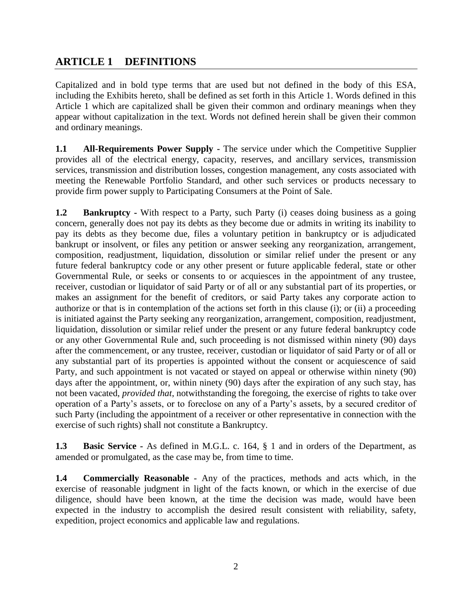## **ARTICLE 1 DEFINITIONS**

Capitalized and in bold type terms that are used but not defined in the body of this ESA, including the Exhibits hereto, shall be defined as set forth in this Article 1. Words defined in this Article 1 which are capitalized shall be given their common and ordinary meanings when they appear without capitalization in the text. Words not defined herein shall be given their common and ordinary meanings.

**1.1 All-Requirements Power Supply -** The service under which the Competitive Supplier provides all of the electrical energy, capacity, reserves, and ancillary services, transmission services, transmission and distribution losses, congestion management, any costs associated with meeting the Renewable Portfolio Standard, and other such services or products necessary to provide firm power supply to Participating Consumers at the Point of Sale.

**1.2 Bankruptcy** - With respect to a Party, such Party (i) ceases doing business as a going concern, generally does not pay its debts as they become due or admits in writing its inability to pay its debts as they become due, files a voluntary petition in bankruptcy or is adjudicated bankrupt or insolvent, or files any petition or answer seeking any reorganization, arrangement, composition, readjustment, liquidation, dissolution or similar relief under the present or any future federal bankruptcy code or any other present or future applicable federal, state or other Governmental Rule, or seeks or consents to or acquiesces in the appointment of any trustee, receiver, custodian or liquidator of said Party or of all or any substantial part of its properties, or makes an assignment for the benefit of creditors, or said Party takes any corporate action to authorize or that is in contemplation of the actions set forth in this clause (i); or (ii) a proceeding is initiated against the Party seeking any reorganization, arrangement, composition, readjustment, liquidation, dissolution or similar relief under the present or any future federal bankruptcy code or any other Governmental Rule and, such proceeding is not dismissed within ninety (90) days after the commencement, or any trustee, receiver, custodian or liquidator of said Party or of all or any substantial part of its properties is appointed without the consent or acquiescence of said Party, and such appointment is not vacated or stayed on appeal or otherwise within ninety (90) days after the appointment, or, within ninety (90) days after the expiration of any such stay, has not been vacated, *provided that*, notwithstanding the foregoing, the exercise of rights to take over operation of a Party's assets, or to foreclose on any of a Party's assets, by a secured creditor of such Party (including the appointment of a receiver or other representative in connection with the exercise of such rights) shall not constitute a Bankruptcy.

**1.3 Basic Service -** As defined in M.G.L. c. 164, § 1 and in orders of the Department, as amended or promulgated, as the case may be, from time to time.

**1.4 Commercially Reasonable** - Any of the practices, methods and acts which, in the exercise of reasonable judgment in light of the facts known, or which in the exercise of due diligence, should have been known, at the time the decision was made, would have been expected in the industry to accomplish the desired result consistent with reliability, safety, expedition, project economics and applicable law and regulations.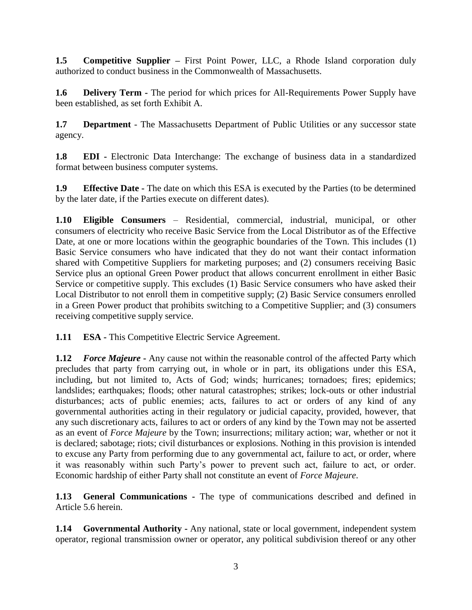**1.5 Competitive Supplier –** First Point Power, LLC, a Rhode Island corporation duly authorized to conduct business in the Commonwealth of Massachusetts.

**1.6 Delivery Term -** The period for which prices for All-Requirements Power Supply have been established, as set forth Exhibit A.

**1.7 Department** - The Massachusetts Department of Public Utilities or any successor state agency.

**1.8 EDI -** Electronic Data Interchange: The exchange of business data in a standardized format between business computer systems.

**1.9 Effective Date -** The date on which this ESA is executed by the Parties (to be determined by the later date, if the Parties execute on different dates).

**1.10 Eligible Consumers** – Residential, commercial, industrial, municipal, or other consumers of electricity who receive Basic Service from the Local Distributor as of the Effective Date, at one or more locations within the geographic boundaries of the Town. This includes (1) Basic Service consumers who have indicated that they do not want their contact information shared with Competitive Suppliers for marketing purposes; and (2) consumers receiving Basic Service plus an optional Green Power product that allows concurrent enrollment in either Basic Service or competitive supply. This excludes (1) Basic Service consumers who have asked their Local Distributor to not enroll them in competitive supply; (2) Basic Service consumers enrolled in a Green Power product that prohibits switching to a Competitive Supplier; and (3) consumers receiving competitive supply service.

**1.11 ESA -** This Competitive Electric Service Agreement.

**1.12** *Force Majeure* **-** Any cause not within the reasonable control of the affected Party which precludes that party from carrying out, in whole or in part, its obligations under this ESA, including, but not limited to, Acts of God; winds; hurricanes; tornadoes; fires; epidemics; landslides; earthquakes; floods; other natural catastrophes; strikes; lock-outs or other industrial disturbances; acts of public enemies; acts, failures to act or orders of any kind of any governmental authorities acting in their regulatory or judicial capacity, provided, however, that any such discretionary acts, failures to act or orders of any kind by the Town may not be asserted as an event of *Force Majeure* by the Town; insurrections; military action; war, whether or not it is declared; sabotage; riots; civil disturbances or explosions. Nothing in this provision is intended to excuse any Party from performing due to any governmental act, failure to act, or order, where it was reasonably within such Party's power to prevent such act, failure to act, or order. Economic hardship of either Party shall not constitute an event of *Force Majeure*.

**1.13 General Communications -** The type of communications described and defined in Article 5.6 herein.

**1.14 Governmental Authority -** Any national, state or local government, independent system operator, regional transmission owner or operator, any political subdivision thereof or any other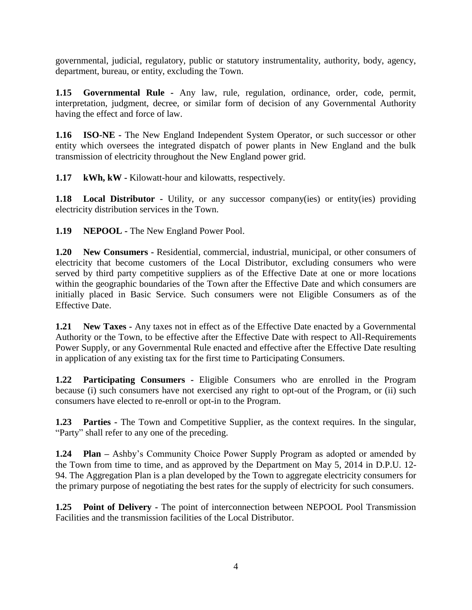governmental, judicial, regulatory, public or statutory instrumentality, authority, body, agency, department, bureau, or entity, excluding the Town.

**1.15 Governmental Rule -** Any law, rule, regulation, ordinance, order, code, permit, interpretation, judgment, decree, or similar form of decision of any Governmental Authority having the effect and force of law.

**1.16 ISO-NE -** The New England Independent System Operator, or such successor or other entity which oversees the integrated dispatch of power plants in New England and the bulk transmission of electricity throughout the New England power grid.

**1.17 kWh, kW -** Kilowatt-hour and kilowatts, respectively.

**1.18 Local Distributor** - Utility, or any successor company(ies) or entity(ies) providing electricity distribution services in the Town.

**1.19 NEPOOL -** The New England Power Pool.

**1.20 New Consumers -** Residential, commercial, industrial, municipal, or other consumers of electricity that become customers of the Local Distributor, excluding consumers who were served by third party competitive suppliers as of the Effective Date at one or more locations within the geographic boundaries of the Town after the Effective Date and which consumers are initially placed in Basic Service. Such consumers were not Eligible Consumers as of the Effective Date.

**1.21 New Taxes -** Any taxes not in effect as of the Effective Date enacted by a Governmental Authority or the Town, to be effective after the Effective Date with respect to All-Requirements Power Supply, or any Governmental Rule enacted and effective after the Effective Date resulting in application of any existing tax for the first time to Participating Consumers.

**1.22 Participating Consumers -** Eligible Consumers who are enrolled in the Program because (i) such consumers have not exercised any right to opt-out of the Program, or (ii) such consumers have elected to re-enroll or opt-in to the Program.

**1.23 Parties -** The Town and Competitive Supplier, as the context requires. In the singular, "Party" shall refer to any one of the preceding.

**1.24 Plan –** Ashby's Community Choice Power Supply Program as adopted or amended by the Town from time to time, and as approved by the Department on May 5, 2014 in D.P.U. 12- 94. The Aggregation Plan is a plan developed by the Town to aggregate electricity consumers for the primary purpose of negotiating the best rates for the supply of electricity for such consumers.

**1.25 Point of Delivery -** The point of interconnection between NEPOOL Pool Transmission Facilities and the transmission facilities of the Local Distributor.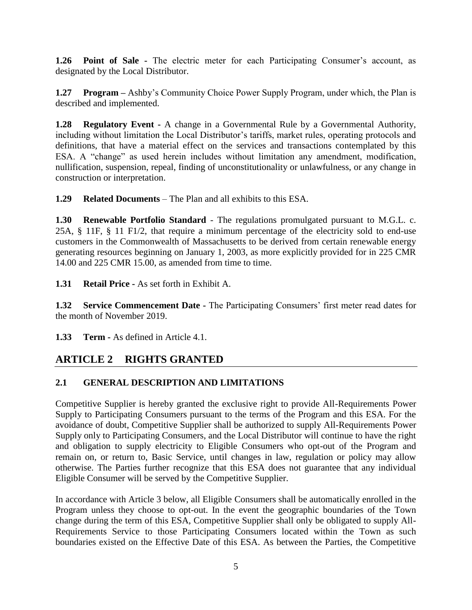**1.26 Point of Sale -** The electric meter for each Participating Consumer's account, as designated by the Local Distributor.

**1.27 Program –** Ashby's Community Choice Power Supply Program, under which, the Plan is described and implemented.

**1.28 Regulatory Event -** A change in a Governmental Rule by a Governmental Authority, including without limitation the Local Distributor's tariffs, market rules, operating protocols and definitions, that have a material effect on the services and transactions contemplated by this ESA. A "change" as used herein includes without limitation any amendment, modification, nullification, suspension, repeal, finding of unconstitutionality or unlawfulness, or any change in construction or interpretation.

**1.29 Related Documents** – The Plan and all exhibits to this ESA.

**1.30 Renewable Portfolio Standard** - The regulations promulgated pursuant to M.G.L. c. 25A, § 11F, § 11 F1/2, that require a minimum percentage of the electricity sold to end-use customers in the Commonwealth of Massachusetts to be derived from certain renewable energy generating resources beginning on January 1, 2003, as more explicitly provided for in 225 CMR 14.00 and 225 CMR 15.00, as amended from time to time.

**1.31 Retail Price -** As set forth in Exhibit A.

**1.32 Service Commencement Date -** The Participating Consumers' first meter read dates for the month of November 2019.

**1.33 Term -** As defined in Article 4.1.

# **ARTICLE 2 RIGHTS GRANTED**

## **2.1 GENERAL DESCRIPTION AND LIMITATIONS**

Competitive Supplier is hereby granted the exclusive right to provide All-Requirements Power Supply to Participating Consumers pursuant to the terms of the Program and this ESA. For the avoidance of doubt, Competitive Supplier shall be authorized to supply All-Requirements Power Supply only to Participating Consumers, and the Local Distributor will continue to have the right and obligation to supply electricity to Eligible Consumers who opt-out of the Program and remain on, or return to, Basic Service, until changes in law, regulation or policy may allow otherwise. The Parties further recognize that this ESA does not guarantee that any individual Eligible Consumer will be served by the Competitive Supplier.

In accordance with Article 3 below, all Eligible Consumers shall be automatically enrolled in the Program unless they choose to opt-out. In the event the geographic boundaries of the Town change during the term of this ESA, Competitive Supplier shall only be obligated to supply All-Requirements Service to those Participating Consumers located within the Town as such boundaries existed on the Effective Date of this ESA. As between the Parties, the Competitive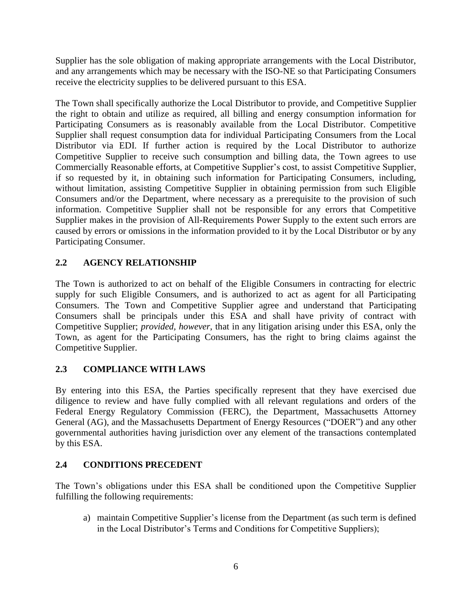Supplier has the sole obligation of making appropriate arrangements with the Local Distributor, and any arrangements which may be necessary with the ISO-NE so that Participating Consumers receive the electricity supplies to be delivered pursuant to this ESA.

The Town shall specifically authorize the Local Distributor to provide, and Competitive Supplier the right to obtain and utilize as required, all billing and energy consumption information for Participating Consumers as is reasonably available from the Local Distributor. Competitive Supplier shall request consumption data for individual Participating Consumers from the Local Distributor via EDI. If further action is required by the Local Distributor to authorize Competitive Supplier to receive such consumption and billing data, the Town agrees to use Commercially Reasonable efforts, at Competitive Supplier's cost, to assist Competitive Supplier, if so requested by it, in obtaining such information for Participating Consumers, including, without limitation, assisting Competitive Supplier in obtaining permission from such Eligible Consumers and/or the Department, where necessary as a prerequisite to the provision of such information. Competitive Supplier shall not be responsible for any errors that Competitive Supplier makes in the provision of All-Requirements Power Supply to the extent such errors are caused by errors or omissions in the information provided to it by the Local Distributor or by any Participating Consumer.

## **2.2 AGENCY RELATIONSHIP**

The Town is authorized to act on behalf of the Eligible Consumers in contracting for electric supply for such Eligible Consumers, and is authorized to act as agent for all Participating Consumers. The Town and Competitive Supplier agree and understand that Participating Consumers shall be principals under this ESA and shall have privity of contract with Competitive Supplier; *provided, however*, that in any litigation arising under this ESA, only the Town, as agent for the Participating Consumers, has the right to bring claims against the Competitive Supplier.

## **2.3 COMPLIANCE WITH LAWS**

By entering into this ESA, the Parties specifically represent that they have exercised due diligence to review and have fully complied with all relevant regulations and orders of the Federal Energy Regulatory Commission (FERC), the Department, Massachusetts Attorney General (AG), and the Massachusetts Department of Energy Resources ("DOER") and any other governmental authorities having jurisdiction over any element of the transactions contemplated by this ESA.

## **2.4 CONDITIONS PRECEDENT**

The Town's obligations under this ESA shall be conditioned upon the Competitive Supplier fulfilling the following requirements:

a) maintain Competitive Supplier's license from the Department (as such term is defined in the Local Distributor's Terms and Conditions for Competitive Suppliers);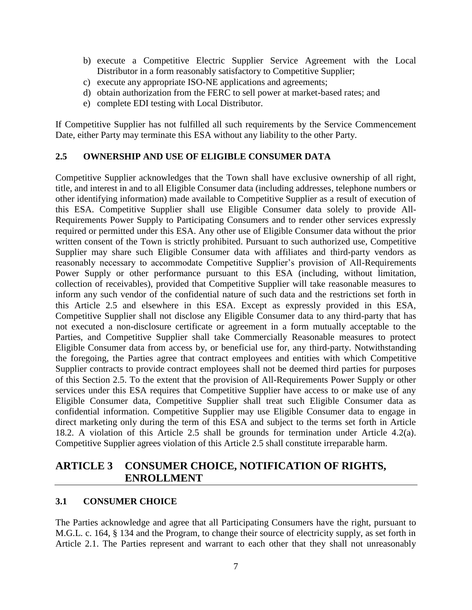- b) execute a Competitive Electric Supplier Service Agreement with the Local Distributor in a form reasonably satisfactory to Competitive Supplier;
- c) execute any appropriate ISO-NE applications and agreements;
- d) obtain authorization from the FERC to sell power at market-based rates; and
- e) complete EDI testing with Local Distributor.

If Competitive Supplier has not fulfilled all such requirements by the Service Commencement Date, either Party may terminate this ESA without any liability to the other Party.

### **2.5 OWNERSHIP AND USE OF ELIGIBLE CONSUMER DATA**

Competitive Supplier acknowledges that the Town shall have exclusive ownership of all right, title, and interest in and to all Eligible Consumer data (including addresses, telephone numbers or other identifying information) made available to Competitive Supplier as a result of execution of this ESA. Competitive Supplier shall use Eligible Consumer data solely to provide All-Requirements Power Supply to Participating Consumers and to render other services expressly required or permitted under this ESA. Any other use of Eligible Consumer data without the prior written consent of the Town is strictly prohibited. Pursuant to such authorized use, Competitive Supplier may share such Eligible Consumer data with affiliates and third-party vendors as reasonably necessary to accommodate Competitive Supplier's provision of All-Requirements Power Supply or other performance pursuant to this ESA (including, without limitation, collection of receivables), provided that Competitive Supplier will take reasonable measures to inform any such vendor of the confidential nature of such data and the restrictions set forth in this Article 2.5 and elsewhere in this ESA. Except as expressly provided in this ESA, Competitive Supplier shall not disclose any Eligible Consumer data to any third-party that has not executed a non-disclosure certificate or agreement in a form mutually acceptable to the Parties, and Competitive Supplier shall take Commercially Reasonable measures to protect Eligible Consumer data from access by, or beneficial use for, any third-party. Notwithstanding the foregoing, the Parties agree that contract employees and entities with which Competitive Supplier contracts to provide contract employees shall not be deemed third parties for purposes of this Section 2.5. To the extent that the provision of All-Requirements Power Supply or other services under this ESA requires that Competitive Supplier have access to or make use of any Eligible Consumer data, Competitive Supplier shall treat such Eligible Consumer data as confidential information. Competitive Supplier may use Eligible Consumer data to engage in direct marketing only during the term of this ESA and subject to the terms set forth in Article 18.2. A violation of this Article 2.5 shall be grounds for termination under Article 4.2(a). Competitive Supplier agrees violation of this Article 2.5 shall constitute irreparable harm.

## **ARTICLE 3 CONSUMER CHOICE, NOTIFICATION OF RIGHTS, ENROLLMENT**

### **3.1 CONSUMER CHOICE**

The Parties acknowledge and agree that all Participating Consumers have the right, pursuant to M.G.L. c. 164, § 134 and the Program, to change their source of electricity supply, as set forth in Article 2.1. The Parties represent and warrant to each other that they shall not unreasonably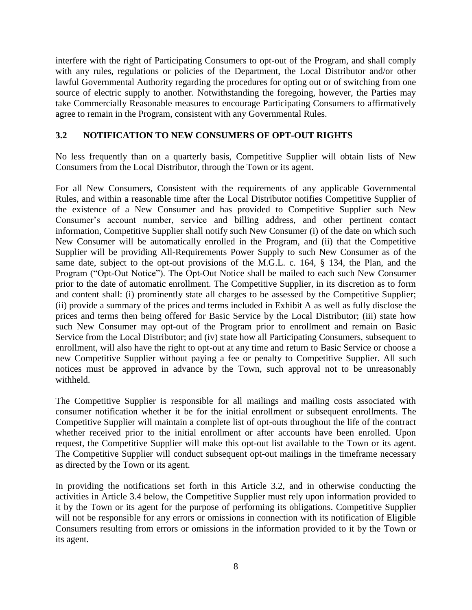interfere with the right of Participating Consumers to opt-out of the Program, and shall comply with any rules, regulations or policies of the Department, the Local Distributor and/or other lawful Governmental Authority regarding the procedures for opting out or of switching from one source of electric supply to another. Notwithstanding the foregoing, however, the Parties may take Commercially Reasonable measures to encourage Participating Consumers to affirmatively agree to remain in the Program, consistent with any Governmental Rules.

### **3.2 NOTIFICATION TO NEW CONSUMERS OF OPT-OUT RIGHTS**

No less frequently than on a quarterly basis, Competitive Supplier will obtain lists of New Consumers from the Local Distributor, through the Town or its agent.

For all New Consumers, Consistent with the requirements of any applicable Governmental Rules, and within a reasonable time after the Local Distributor notifies Competitive Supplier of the existence of a New Consumer and has provided to Competitive Supplier such New Consumer's account number, service and billing address, and other pertinent contact information, Competitive Supplier shall notify such New Consumer (i) of the date on which such New Consumer will be automatically enrolled in the Program, and (ii) that the Competitive Supplier will be providing All-Requirements Power Supply to such New Consumer as of the same date, subject to the opt-out provisions of the M.G.L. c. 164, § 134, the Plan, and the Program ("Opt-Out Notice"). The Opt-Out Notice shall be mailed to each such New Consumer prior to the date of automatic enrollment. The Competitive Supplier, in its discretion as to form and content shall: (i) prominently state all charges to be assessed by the Competitive Supplier; (ii) provide a summary of the prices and terms included in Exhibit A as well as fully disclose the prices and terms then being offered for Basic Service by the Local Distributor; (iii) state how such New Consumer may opt-out of the Program prior to enrollment and remain on Basic Service from the Local Distributor; and (iv) state how all Participating Consumers, subsequent to enrollment, will also have the right to opt-out at any time and return to Basic Service or choose a new Competitive Supplier without paying a fee or penalty to Competitive Supplier. All such notices must be approved in advance by the Town, such approval not to be unreasonably withheld.

The Competitive Supplier is responsible for all mailings and mailing costs associated with consumer notification whether it be for the initial enrollment or subsequent enrollments. The Competitive Supplier will maintain a complete list of opt-outs throughout the life of the contract whether received prior to the initial enrollment or after accounts have been enrolled. Upon request, the Competitive Supplier will make this opt-out list available to the Town or its agent. The Competitive Supplier will conduct subsequent opt-out mailings in the timeframe necessary as directed by the Town or its agent.

In providing the notifications set forth in this Article 3.2, and in otherwise conducting the activities in Article 3.4 below, the Competitive Supplier must rely upon information provided to it by the Town or its agent for the purpose of performing its obligations. Competitive Supplier will not be responsible for any errors or omissions in connection with its notification of Eligible Consumers resulting from errors or omissions in the information provided to it by the Town or its agent.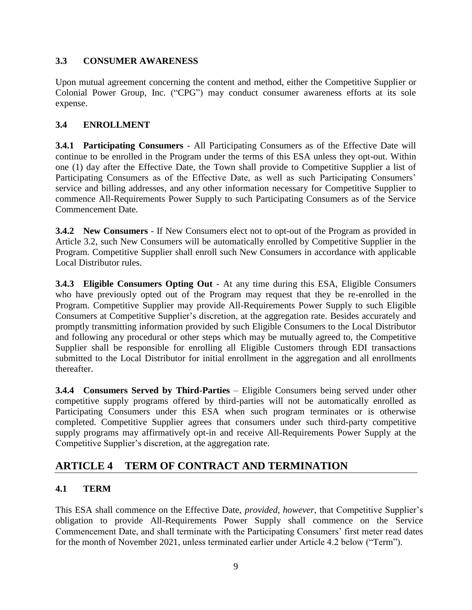## **3.3 CONSUMER AWARENESS**

Upon mutual agreement concerning the content and method, either the Competitive Supplier or Colonial Power Group, Inc. ("CPG") may conduct consumer awareness efforts at its sole expense.

## **3.4 ENROLLMENT**

**3.4.1 Participating Consumers** - All Participating Consumers as of the Effective Date will continue to be enrolled in the Program under the terms of this ESA unless they opt-out. Within one (1) day after the Effective Date, the Town shall provide to Competitive Supplier a list of Participating Consumers as of the Effective Date, as well as such Participating Consumers' service and billing addresses, and any other information necessary for Competitive Supplier to commence All-Requirements Power Supply to such Participating Consumers as of the Service Commencement Date.

**3.4.2 New Consumers** - If New Consumers elect not to opt-out of the Program as provided in Article 3.2, such New Consumers will be automatically enrolled by Competitive Supplier in the Program. Competitive Supplier shall enroll such New Consumers in accordance with applicable Local Distributor rules.

**3.4.3 Eligible Consumers Opting Out** - At any time during this ESA, Eligible Consumers who have previously opted out of the Program may request that they be re-enrolled in the Program. Competitive Supplier may provide All-Requirements Power Supply to such Eligible Consumers at Competitive Supplier's discretion, at the aggregation rate. Besides accurately and promptly transmitting information provided by such Eligible Consumers to the Local Distributor and following any procedural or other steps which may be mutually agreed to, the Competitive Supplier shall be responsible for enrolling all Eligible Customers through EDI transactions submitted to the Local Distributor for initial enrollment in the aggregation and all enrollments thereafter.

**3.4.4 Consumers Served by Third-Parties** – Eligible Consumers being served under other competitive supply programs offered by third-parties will not be automatically enrolled as Participating Consumers under this ESA when such program terminates or is otherwise completed. Competitive Supplier agrees that consumers under such third-party competitive supply programs may affirmatively opt-in and receive All-Requirements Power Supply at the Competitive Supplier's discretion, at the aggregation rate.

# **ARTICLE 4 TERM OF CONTRACT AND TERMINATION**

## **4.1 TERM**

This ESA shall commence on the Effective Date, *provided, however*, that Competitive Supplier's obligation to provide All-Requirements Power Supply shall commence on the Service Commencement Date, and shall terminate with the Participating Consumers' first meter read dates for the month of November 2021, unless terminated earlier under Article 4.2 below ("Term").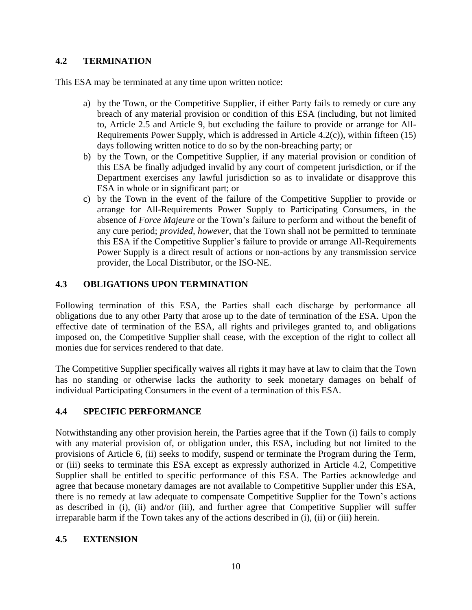### **4.2 TERMINATION**

This ESA may be terminated at any time upon written notice:

- a) by the Town, or the Competitive Supplier, if either Party fails to remedy or cure any breach of any material provision or condition of this ESA (including, but not limited to, Article 2.5 and Article 9, but excluding the failure to provide or arrange for All-Requirements Power Supply, which is addressed in Article 4.2(c)), within fifteen (15) days following written notice to do so by the non-breaching party; or
- b) by the Town, or the Competitive Supplier, if any material provision or condition of this ESA be finally adjudged invalid by any court of competent jurisdiction, or if the Department exercises any lawful jurisdiction so as to invalidate or disapprove this ESA in whole or in significant part; or
- c) by the Town in the event of the failure of the Competitive Supplier to provide or arrange for All-Requirements Power Supply to Participating Consumers, in the absence of *Force Majeure* or the Town's failure to perform and without the benefit of any cure period; *provided, however*, that the Town shall not be permitted to terminate this ESA if the Competitive Supplier's failure to provide or arrange All-Requirements Power Supply is a direct result of actions or non-actions by any transmission service provider, the Local Distributor, or the ISO-NE.

## **4.3 OBLIGATIONS UPON TERMINATION**

Following termination of this ESA, the Parties shall each discharge by performance all obligations due to any other Party that arose up to the date of termination of the ESA. Upon the effective date of termination of the ESA, all rights and privileges granted to, and obligations imposed on, the Competitive Supplier shall cease, with the exception of the right to collect all monies due for services rendered to that date.

The Competitive Supplier specifically waives all rights it may have at law to claim that the Town has no standing or otherwise lacks the authority to seek monetary damages on behalf of individual Participating Consumers in the event of a termination of this ESA.

### **4.4 SPECIFIC PERFORMANCE**

Notwithstanding any other provision herein, the Parties agree that if the Town (i) fails to comply with any material provision of, or obligation under, this ESA, including but not limited to the provisions of Article 6, (ii) seeks to modify, suspend or terminate the Program during the Term, or (iii) seeks to terminate this ESA except as expressly authorized in Article 4.2, Competitive Supplier shall be entitled to specific performance of this ESA. The Parties acknowledge and agree that because monetary damages are not available to Competitive Supplier under this ESA, there is no remedy at law adequate to compensate Competitive Supplier for the Town's actions as described in (i), (ii) and/or (iii), and further agree that Competitive Supplier will suffer irreparable harm if the Town takes any of the actions described in (i), (ii) or (iii) herein.

### **4.5 EXTENSION**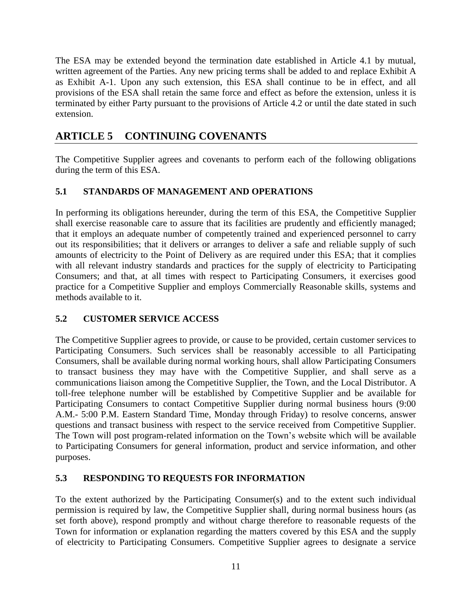The ESA may be extended beyond the termination date established in Article 4.1 by mutual, written agreement of the Parties. Any new pricing terms shall be added to and replace Exhibit A as Exhibit A-1. Upon any such extension, this ESA shall continue to be in effect, and all provisions of the ESA shall retain the same force and effect as before the extension, unless it is terminated by either Party pursuant to the provisions of Article 4.2 or until the date stated in such extension.

# **ARTICLE 5 CONTINUING COVENANTS**

The Competitive Supplier agrees and covenants to perform each of the following obligations during the term of this ESA.

## **5.1 STANDARDS OF MANAGEMENT AND OPERATIONS**

In performing its obligations hereunder, during the term of this ESA, the Competitive Supplier shall exercise reasonable care to assure that its facilities are prudently and efficiently managed; that it employs an adequate number of competently trained and experienced personnel to carry out its responsibilities; that it delivers or arranges to deliver a safe and reliable supply of such amounts of electricity to the Point of Delivery as are required under this ESA; that it complies with all relevant industry standards and practices for the supply of electricity to Participating Consumers; and that, at all times with respect to Participating Consumers, it exercises good practice for a Competitive Supplier and employs Commercially Reasonable skills, systems and methods available to it.

### **5.2 CUSTOMER SERVICE ACCESS**

The Competitive Supplier agrees to provide, or cause to be provided, certain customer services to Participating Consumers. Such services shall be reasonably accessible to all Participating Consumers, shall be available during normal working hours, shall allow Participating Consumers to transact business they may have with the Competitive Supplier, and shall serve as a communications liaison among the Competitive Supplier, the Town, and the Local Distributor. A toll-free telephone number will be established by Competitive Supplier and be available for Participating Consumers to contact Competitive Supplier during normal business hours (9:00) A.M.- 5:00 P.M. Eastern Standard Time, Monday through Friday) to resolve concerns, answer questions and transact business with respect to the service received from Competitive Supplier. The Town will post program-related information on the Town's website which will be available to Participating Consumers for general information, product and service information, and other purposes.

### **5.3 RESPONDING TO REQUESTS FOR INFORMATION**

To the extent authorized by the Participating Consumer(s) and to the extent such individual permission is required by law, the Competitive Supplier shall, during normal business hours (as set forth above), respond promptly and without charge therefore to reasonable requests of the Town for information or explanation regarding the matters covered by this ESA and the supply of electricity to Participating Consumers. Competitive Supplier agrees to designate a service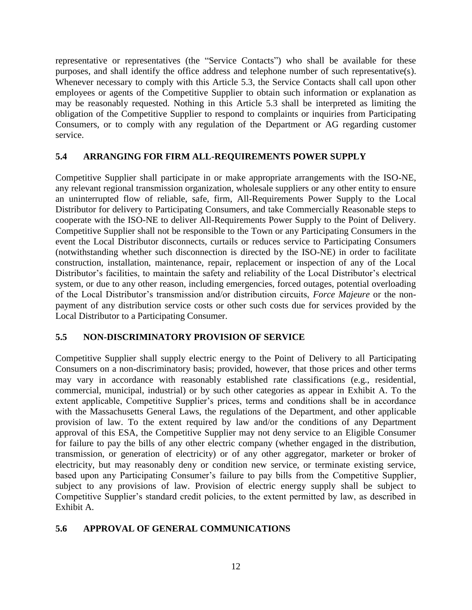representative or representatives (the "Service Contacts") who shall be available for these purposes, and shall identify the office address and telephone number of such representative(s). Whenever necessary to comply with this Article 5.3, the Service Contacts shall call upon other employees or agents of the Competitive Supplier to obtain such information or explanation as may be reasonably requested. Nothing in this Article 5.3 shall be interpreted as limiting the obligation of the Competitive Supplier to respond to complaints or inquiries from Participating Consumers, or to comply with any regulation of the Department or AG regarding customer service.

### **5.4 ARRANGING FOR FIRM ALL-REQUIREMENTS POWER SUPPLY**

Competitive Supplier shall participate in or make appropriate arrangements with the ISO-NE, any relevant regional transmission organization, wholesale suppliers or any other entity to ensure an uninterrupted flow of reliable, safe, firm, All-Requirements Power Supply to the Local Distributor for delivery to Participating Consumers, and take Commercially Reasonable steps to cooperate with the ISO-NE to deliver All-Requirements Power Supply to the Point of Delivery. Competitive Supplier shall not be responsible to the Town or any Participating Consumers in the event the Local Distributor disconnects, curtails or reduces service to Participating Consumers (notwithstanding whether such disconnection is directed by the ISO-NE) in order to facilitate construction, installation, maintenance, repair, replacement or inspection of any of the Local Distributor's facilities, to maintain the safety and reliability of the Local Distributor's electrical system, or due to any other reason, including emergencies, forced outages, potential overloading of the Local Distributor's transmission and/or distribution circuits, *Force Majeure* or the nonpayment of any distribution service costs or other such costs due for services provided by the Local Distributor to a Participating Consumer.

### **5.5 NON-DISCRIMINATORY PROVISION OF SERVICE**

Competitive Supplier shall supply electric energy to the Point of Delivery to all Participating Consumers on a non-discriminatory basis; provided, however, that those prices and other terms may vary in accordance with reasonably established rate classifications (e.g., residential, commercial, municipal, industrial) or by such other categories as appear in Exhibit A. To the extent applicable, Competitive Supplier's prices, terms and conditions shall be in accordance with the Massachusetts General Laws, the regulations of the Department, and other applicable provision of law. To the extent required by law and/or the conditions of any Department approval of this ESA, the Competitive Supplier may not deny service to an Eligible Consumer for failure to pay the bills of any other electric company (whether engaged in the distribution, transmission, or generation of electricity) or of any other aggregator, marketer or broker of electricity, but may reasonably deny or condition new service, or terminate existing service, based upon any Participating Consumer's failure to pay bills from the Competitive Supplier, subject to any provisions of law. Provision of electric energy supply shall be subject to Competitive Supplier's standard credit policies, to the extent permitted by law, as described in Exhibit A.

### **5.6 APPROVAL OF GENERAL COMMUNICATIONS**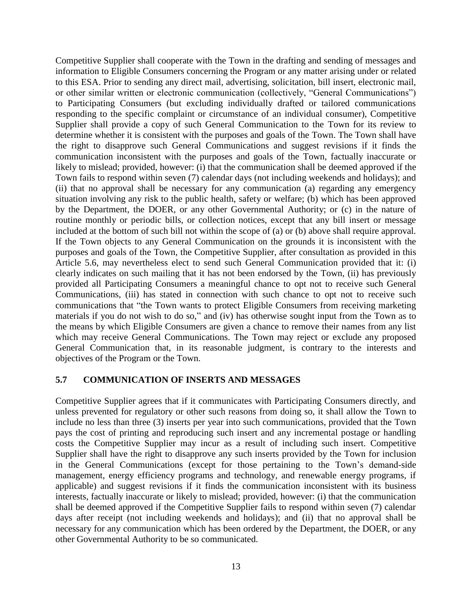Competitive Supplier shall cooperate with the Town in the drafting and sending of messages and information to Eligible Consumers concerning the Program or any matter arising under or related to this ESA. Prior to sending any direct mail, advertising, solicitation, bill insert, electronic mail, or other similar written or electronic communication (collectively, "General Communications") to Participating Consumers (but excluding individually drafted or tailored communications responding to the specific complaint or circumstance of an individual consumer), Competitive Supplier shall provide a copy of such General Communication to the Town for its review to determine whether it is consistent with the purposes and goals of the Town. The Town shall have the right to disapprove such General Communications and suggest revisions if it finds the communication inconsistent with the purposes and goals of the Town, factually inaccurate or likely to mislead; provided, however: (i) that the communication shall be deemed approved if the Town fails to respond within seven (7) calendar days (not including weekends and holidays); and (ii) that no approval shall be necessary for any communication (a) regarding any emergency situation involving any risk to the public health, safety or welfare; (b) which has been approved by the Department, the DOER, or any other Governmental Authority; or (c) in the nature of routine monthly or periodic bills, or collection notices, except that any bill insert or message included at the bottom of such bill not within the scope of (a) or (b) above shall require approval. If the Town objects to any General Communication on the grounds it is inconsistent with the purposes and goals of the Town, the Competitive Supplier, after consultation as provided in this Article 5.6, may nevertheless elect to send such General Communication provided that it: (i) clearly indicates on such mailing that it has not been endorsed by the Town, (ii) has previously provided all Participating Consumers a meaningful chance to opt not to receive such General Communications, (iii) has stated in connection with such chance to opt not to receive such communications that "the Town wants to protect Eligible Consumers from receiving marketing materials if you do not wish to do so," and (iv) has otherwise sought input from the Town as to the means by which Eligible Consumers are given a chance to remove their names from any list which may receive General Communications. The Town may reject or exclude any proposed General Communication that, in its reasonable judgment, is contrary to the interests and objectives of the Program or the Town.

#### **5.7 COMMUNICATION OF INSERTS AND MESSAGES**

Competitive Supplier agrees that if it communicates with Participating Consumers directly, and unless prevented for regulatory or other such reasons from doing so, it shall allow the Town to include no less than three (3) inserts per year into such communications, provided that the Town pays the cost of printing and reproducing such insert and any incremental postage or handling costs the Competitive Supplier may incur as a result of including such insert. Competitive Supplier shall have the right to disapprove any such inserts provided by the Town for inclusion in the General Communications (except for those pertaining to the Town's demand-side management, energy efficiency programs and technology, and renewable energy programs, if applicable) and suggest revisions if it finds the communication inconsistent with its business interests, factually inaccurate or likely to mislead; provided, however: (i) that the communication shall be deemed approved if the Competitive Supplier fails to respond within seven (7) calendar days after receipt (not including weekends and holidays); and (ii) that no approval shall be necessary for any communication which has been ordered by the Department, the DOER, or any other Governmental Authority to be so communicated.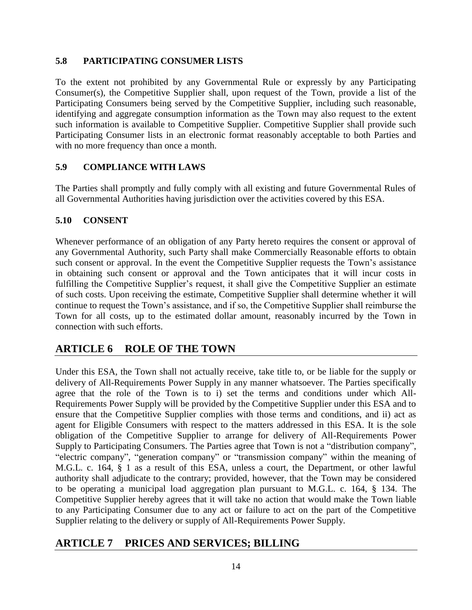### **5.8 PARTICIPATING CONSUMER LISTS**

To the extent not prohibited by any Governmental Rule or expressly by any Participating Consumer(s), the Competitive Supplier shall, upon request of the Town, provide a list of the Participating Consumers being served by the Competitive Supplier, including such reasonable, identifying and aggregate consumption information as the Town may also request to the extent such information is available to Competitive Supplier. Competitive Supplier shall provide such Participating Consumer lists in an electronic format reasonably acceptable to both Parties and with no more frequency than once a month.

## **5.9 COMPLIANCE WITH LAWS**

The Parties shall promptly and fully comply with all existing and future Governmental Rules of all Governmental Authorities having jurisdiction over the activities covered by this ESA.

## **5.10 CONSENT**

Whenever performance of an obligation of any Party hereto requires the consent or approval of any Governmental Authority, such Party shall make Commercially Reasonable efforts to obtain such consent or approval. In the event the Competitive Supplier requests the Town's assistance in obtaining such consent or approval and the Town anticipates that it will incur costs in fulfilling the Competitive Supplier's request, it shall give the Competitive Supplier an estimate of such costs. Upon receiving the estimate, Competitive Supplier shall determine whether it will continue to request the Town's assistance, and if so, the Competitive Supplier shall reimburse the Town for all costs, up to the estimated dollar amount, reasonably incurred by the Town in connection with such efforts.

# **ARTICLE 6 ROLE OF THE TOWN**

Under this ESA, the Town shall not actually receive, take title to, or be liable for the supply or delivery of All-Requirements Power Supply in any manner whatsoever. The Parties specifically agree that the role of the Town is to i) set the terms and conditions under which All-Requirements Power Supply will be provided by the Competitive Supplier under this ESA and to ensure that the Competitive Supplier complies with those terms and conditions, and ii) act as agent for Eligible Consumers with respect to the matters addressed in this ESA. It is the sole obligation of the Competitive Supplier to arrange for delivery of All-Requirements Power Supply to Participating Consumers. The Parties agree that Town is not a "distribution company", "electric company", "generation company" or "transmission company" within the meaning of M.G.L. c. 164, § 1 as a result of this ESA, unless a court, the Department, or other lawful authority shall adjudicate to the contrary; provided, however, that the Town may be considered to be operating a municipal load aggregation plan pursuant to M.G.L. c. 164, § 134. The Competitive Supplier hereby agrees that it will take no action that would make the Town liable to any Participating Consumer due to any act or failure to act on the part of the Competitive Supplier relating to the delivery or supply of All-Requirements Power Supply.

# **ARTICLE 7 PRICES AND SERVICES; BILLING**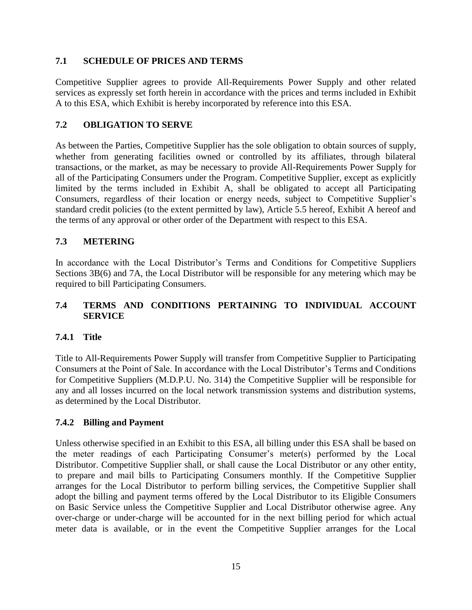### **7.1 SCHEDULE OF PRICES AND TERMS**

Competitive Supplier agrees to provide All-Requirements Power Supply and other related services as expressly set forth herein in accordance with the prices and terms included in Exhibit A to this ESA, which Exhibit is hereby incorporated by reference into this ESA.

### **7.2 OBLIGATION TO SERVE**

As between the Parties, Competitive Supplier has the sole obligation to obtain sources of supply, whether from generating facilities owned or controlled by its affiliates, through bilateral transactions, or the market, as may be necessary to provide All-Requirements Power Supply for all of the Participating Consumers under the Program. Competitive Supplier, except as explicitly limited by the terms included in Exhibit A, shall be obligated to accept all Participating Consumers, regardless of their location or energy needs, subject to Competitive Supplier's standard credit policies (to the extent permitted by law), Article 5.5 hereof, Exhibit A hereof and the terms of any approval or other order of the Department with respect to this ESA.

### **7.3 METERING**

In accordance with the Local Distributor's Terms and Conditions for Competitive Suppliers Sections 3B(6) and 7A, the Local Distributor will be responsible for any metering which may be required to bill Participating Consumers.

### **7.4 TERMS AND CONDITIONS PERTAINING TO INDIVIDUAL ACCOUNT SERVICE**

### **7.4.1 Title**

Title to All-Requirements Power Supply will transfer from Competitive Supplier to Participating Consumers at the Point of Sale. In accordance with the Local Distributor's Terms and Conditions for Competitive Suppliers (M.D.P.U. No. 314) the Competitive Supplier will be responsible for any and all losses incurred on the local network transmission systems and distribution systems, as determined by the Local Distributor.

### **7.4.2 Billing and Payment**

Unless otherwise specified in an Exhibit to this ESA, all billing under this ESA shall be based on the meter readings of each Participating Consumer's meter(s) performed by the Local Distributor. Competitive Supplier shall, or shall cause the Local Distributor or any other entity, to prepare and mail bills to Participating Consumers monthly. If the Competitive Supplier arranges for the Local Distributor to perform billing services, the Competitive Supplier shall adopt the billing and payment terms offered by the Local Distributor to its Eligible Consumers on Basic Service unless the Competitive Supplier and Local Distributor otherwise agree. Any over-charge or under-charge will be accounted for in the next billing period for which actual meter data is available, or in the event the Competitive Supplier arranges for the Local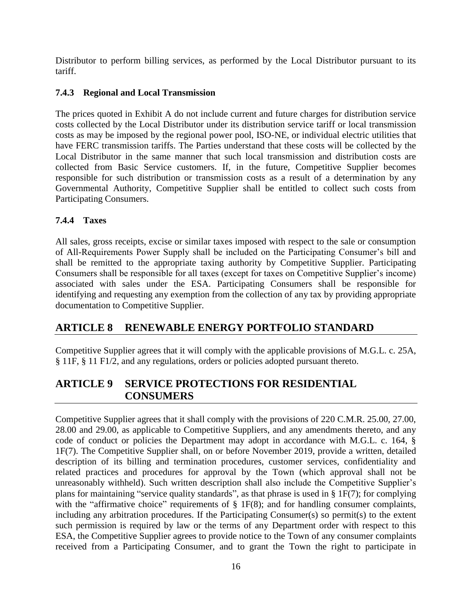Distributor to perform billing services, as performed by the Local Distributor pursuant to its tariff.

## **7.4.3 Regional and Local Transmission**

The prices quoted in Exhibit A do not include current and future charges for distribution service costs collected by the Local Distributor under its distribution service tariff or local transmission costs as may be imposed by the regional power pool, ISO-NE, or individual electric utilities that have FERC transmission tariffs. The Parties understand that these costs will be collected by the Local Distributor in the same manner that such local transmission and distribution costs are collected from Basic Service customers. If, in the future, Competitive Supplier becomes responsible for such distribution or transmission costs as a result of a determination by any Governmental Authority, Competitive Supplier shall be entitled to collect such costs from Participating Consumers.

## **7.4.4 Taxes**

All sales, gross receipts, excise or similar taxes imposed with respect to the sale or consumption of All-Requirements Power Supply shall be included on the Participating Consumer's bill and shall be remitted to the appropriate taxing authority by Competitive Supplier. Participating Consumers shall be responsible for all taxes (except for taxes on Competitive Supplier's income) associated with sales under the ESA. Participating Consumers shall be responsible for identifying and requesting any exemption from the collection of any tax by providing appropriate documentation to Competitive Supplier.

# **ARTICLE 8 RENEWABLE ENERGY PORTFOLIO STANDARD**

Competitive Supplier agrees that it will comply with the applicable provisions of M.G.L. c. 25A, § 11F, § 11 F1/2, and any regulations, orders or policies adopted pursuant thereto.

## **ARTICLE 9 SERVICE PROTECTIONS FOR RESIDENTIAL CONSUMERS**

Competitive Supplier agrees that it shall comply with the provisions of 220 C.M.R. 25.00, 27.00, 28.00 and 29.00, as applicable to Competitive Suppliers, and any amendments thereto, and any code of conduct or policies the Department may adopt in accordance with M.G.L. c. 164, § 1F(7). The Competitive Supplier shall, on or before November 2019, provide a written, detailed description of its billing and termination procedures, customer services, confidentiality and related practices and procedures for approval by the Town (which approval shall not be unreasonably withheld). Such written description shall also include the Competitive Supplier's plans for maintaining "service quality standards", as that phrase is used in § 1F(7); for complying with the "affirmative choice" requirements of  $\S$  1F(8); and for handling consumer complaints, including any arbitration procedures. If the Participating Consumer(s) so permit(s) to the extent such permission is required by law or the terms of any Department order with respect to this ESA, the Competitive Supplier agrees to provide notice to the Town of any consumer complaints received from a Participating Consumer, and to grant the Town the right to participate in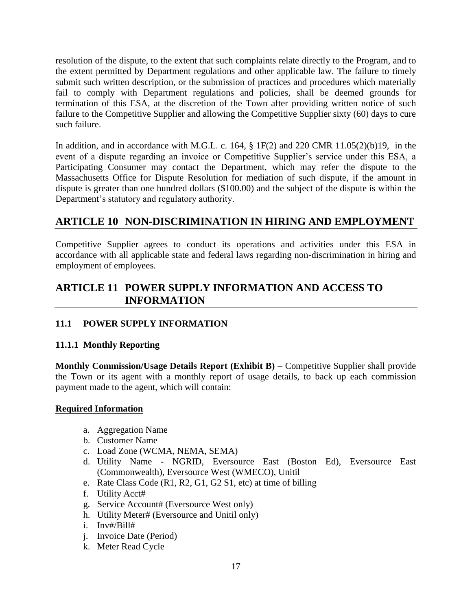resolution of the dispute, to the extent that such complaints relate directly to the Program, and to the extent permitted by Department regulations and other applicable law. The failure to timely submit such written description, or the submission of practices and procedures which materially fail to comply with Department regulations and policies, shall be deemed grounds for termination of this ESA, at the discretion of the Town after providing written notice of such failure to the Competitive Supplier and allowing the Competitive Supplier sixty (60) days to cure such failure.

In addition, and in accordance with M.G.L. c. 164,  $\S$  1F(2) and 220 CMR 11.05(2)(b)19, in the event of a dispute regarding an invoice or Competitive Supplier's service under this ESA, a Participating Consumer may contact the Department, which may refer the dispute to the Massachusetts Office for Dispute Resolution for mediation of such dispute, if the amount in dispute is greater than one hundred dollars (\$100.00) and the subject of the dispute is within the Department's statutory and regulatory authority.

# **ARTICLE 10 NON-DISCRIMINATION IN HIRING AND EMPLOYMENT**

Competitive Supplier agrees to conduct its operations and activities under this ESA in accordance with all applicable state and federal laws regarding non-discrimination in hiring and employment of employees.

## **ARTICLE 11 POWER SUPPLY INFORMATION AND ACCESS TO INFORMATION**

## **11.1 POWER SUPPLY INFORMATION**

### **11.1.1 Monthly Reporting**

**Monthly Commission/Usage Details Report (Exhibit B)** – Competitive Supplier shall provide the Town or its agent with a monthly report of usage details, to back up each commission payment made to the agent, which will contain:

### **Required Information**

- a. Aggregation Name
- b. Customer Name
- c. Load Zone (WCMA, NEMA, SEMA)
- d. Utility Name NGRID, Eversource East (Boston Ed), Eversource East (Commonwealth), Eversource West (WMECO), Unitil
- e. Rate Class Code (R1, R2, G1, G2 S1, etc) at time of billing
- f. Utility Acct#
- g. Service Account# (Eversource West only)
- h. Utility Meter# (Eversource and Unitil only)
- i. Inv#/Bill#
- j. Invoice Date (Period)
- k. Meter Read Cycle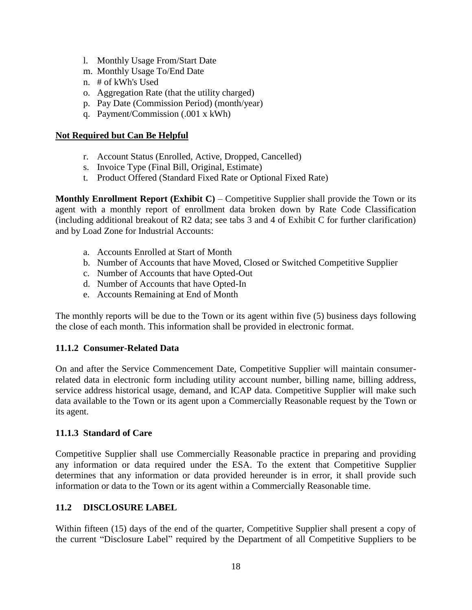- l. Monthly Usage From/Start Date
- m. Monthly Usage To/End Date
- n. # of kWh's Used
- o. Aggregation Rate (that the utility charged)
- p. Pay Date (Commission Period) (month/year)
- q. Payment/Commission (.001 x kWh)

### **Not Required but Can Be Helpful**

- r. Account Status (Enrolled, Active, Dropped, Cancelled)
- s. Invoice Type (Final Bill, Original, Estimate)
- t. Product Offered (Standard Fixed Rate or Optional Fixed Rate)

**Monthly Enrollment Report (Exhibit C)** – Competitive Supplier shall provide the Town or its agent with a monthly report of enrollment data broken down by Rate Code Classification (including additional breakout of R2 data; see tabs 3 and 4 of Exhibit C for further clarification) and by Load Zone for Industrial Accounts:

- a. Accounts Enrolled at Start of Month
- b. Number of Accounts that have Moved, Closed or Switched Competitive Supplier
- c. Number of Accounts that have Opted-Out
- d. Number of Accounts that have Opted-In
- e. Accounts Remaining at End of Month

The monthly reports will be due to the Town or its agent within five (5) business days following the close of each month. This information shall be provided in electronic format.

### **11.1.2 Consumer-Related Data**

On and after the Service Commencement Date, Competitive Supplier will maintain consumerrelated data in electronic form including utility account number, billing name, billing address, service address historical usage, demand, and ICAP data. Competitive Supplier will make such data available to the Town or its agent upon a Commercially Reasonable request by the Town or its agent.

### **11.1.3 Standard of Care**

Competitive Supplier shall use Commercially Reasonable practice in preparing and providing any information or data required under the ESA. To the extent that Competitive Supplier determines that any information or data provided hereunder is in error, it shall provide such information or data to the Town or its agent within a Commercially Reasonable time.

### **11.2 DISCLOSURE LABEL**

Within fifteen (15) days of the end of the quarter, Competitive Supplier shall present a copy of the current "Disclosure Label" required by the Department of all Competitive Suppliers to be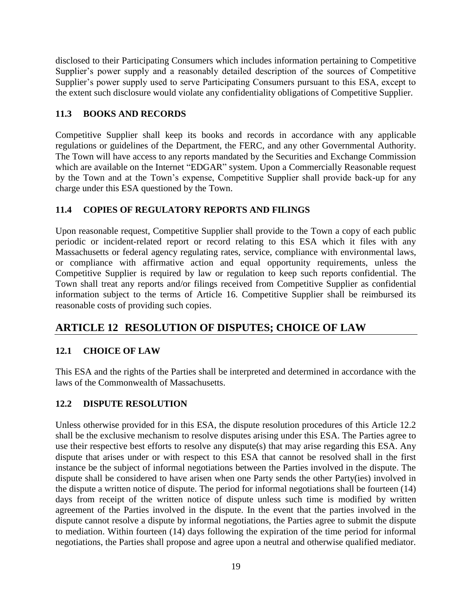disclosed to their Participating Consumers which includes information pertaining to Competitive Supplier's power supply and a reasonably detailed description of the sources of Competitive Supplier's power supply used to serve Participating Consumers pursuant to this ESA, except to the extent such disclosure would violate any confidentiality obligations of Competitive Supplier.

## **11.3 BOOKS AND RECORDS**

Competitive Supplier shall keep its books and records in accordance with any applicable regulations or guidelines of the Department, the FERC, and any other Governmental Authority. The Town will have access to any reports mandated by the Securities and Exchange Commission which are available on the Internet "EDGAR" system. Upon a Commercially Reasonable request by the Town and at the Town's expense, Competitive Supplier shall provide back-up for any charge under this ESA questioned by the Town.

## **11.4 COPIES OF REGULATORY REPORTS AND FILINGS**

Upon reasonable request, Competitive Supplier shall provide to the Town a copy of each public periodic or incident-related report or record relating to this ESA which it files with any Massachusetts or federal agency regulating rates, service, compliance with environmental laws, or compliance with affirmative action and equal opportunity requirements, unless the Competitive Supplier is required by law or regulation to keep such reports confidential. The Town shall treat any reports and/or filings received from Competitive Supplier as confidential information subject to the terms of Article 16. Competitive Supplier shall be reimbursed its reasonable costs of providing such copies.

# **ARTICLE 12 RESOLUTION OF DISPUTES; CHOICE OF LAW**

## **12.1 CHOICE OF LAW**

This ESA and the rights of the Parties shall be interpreted and determined in accordance with the laws of the Commonwealth of Massachusetts.

## **12.2 DISPUTE RESOLUTION**

Unless otherwise provided for in this ESA, the dispute resolution procedures of this Article 12.2 shall be the exclusive mechanism to resolve disputes arising under this ESA. The Parties agree to use their respective best efforts to resolve any dispute(s) that may arise regarding this ESA. Any dispute that arises under or with respect to this ESA that cannot be resolved shall in the first instance be the subject of informal negotiations between the Parties involved in the dispute. The dispute shall be considered to have arisen when one Party sends the other Party(ies) involved in the dispute a written notice of dispute. The period for informal negotiations shall be fourteen (14) days from receipt of the written notice of dispute unless such time is modified by written agreement of the Parties involved in the dispute. In the event that the parties involved in the dispute cannot resolve a dispute by informal negotiations, the Parties agree to submit the dispute to mediation. Within fourteen (14) days following the expiration of the time period for informal negotiations, the Parties shall propose and agree upon a neutral and otherwise qualified mediator.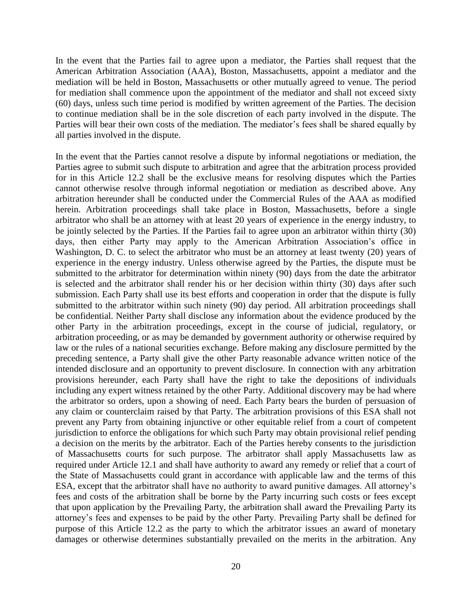In the event that the Parties fail to agree upon a mediator, the Parties shall request that the American Arbitration Association (AAA), Boston, Massachusetts, appoint a mediator and the mediation will be held in Boston, Massachusetts or other mutually agreed to venue. The period for mediation shall commence upon the appointment of the mediator and shall not exceed sixty (60) days, unless such time period is modified by written agreement of the Parties. The decision to continue mediation shall be in the sole discretion of each party involved in the dispute. The Parties will bear their own costs of the mediation. The mediator's fees shall be shared equally by all parties involved in the dispute.

In the event that the Parties cannot resolve a dispute by informal negotiations or mediation, the Parties agree to submit such dispute to arbitration and agree that the arbitration process provided for in this Article 12.2 shall be the exclusive means for resolving disputes which the Parties cannot otherwise resolve through informal negotiation or mediation as described above. Any arbitration hereunder shall be conducted under the Commercial Rules of the AAA as modified herein. Arbitration proceedings shall take place in Boston, Massachusetts, before a single arbitrator who shall be an attorney with at least 20 years of experience in the energy industry, to be jointly selected by the Parties. If the Parties fail to agree upon an arbitrator within thirty (30) days, then either Party may apply to the American Arbitration Association's office in Washington, D. C. to select the arbitrator who must be an attorney at least twenty (20) years of experience in the energy industry. Unless otherwise agreed by the Parties, the dispute must be submitted to the arbitrator for determination within ninety (90) days from the date the arbitrator is selected and the arbitrator shall render his or her decision within thirty (30) days after such submission. Each Party shall use its best efforts and cooperation in order that the dispute is fully submitted to the arbitrator within such ninety (90) day period. All arbitration proceedings shall be confidential. Neither Party shall disclose any information about the evidence produced by the other Party in the arbitration proceedings, except in the course of judicial, regulatory, or arbitration proceeding, or as may be demanded by government authority or otherwise required by law or the rules of a national securities exchange. Before making any disclosure permitted by the preceding sentence, a Party shall give the other Party reasonable advance written notice of the intended disclosure and an opportunity to prevent disclosure. In connection with any arbitration provisions hereunder, each Party shall have the right to take the depositions of individuals including any expert witness retained by the other Party. Additional discovery may be had where the arbitrator so orders, upon a showing of need. Each Party bears the burden of persuasion of any claim or counterclaim raised by that Party. The arbitration provisions of this ESA shall not prevent any Party from obtaining injunctive or other equitable relief from a court of competent jurisdiction to enforce the obligations for which such Party may obtain provisional relief pending a decision on the merits by the arbitrator. Each of the Parties hereby consents to the jurisdiction of Massachusetts courts for such purpose. The arbitrator shall apply Massachusetts law as required under Article 12.1 and shall have authority to award any remedy or relief that a court of the State of Massachusetts could grant in accordance with applicable law and the terms of this ESA, except that the arbitrator shall have no authority to award punitive damages. All attorney's fees and costs of the arbitration shall be borne by the Party incurring such costs or fees except that upon application by the Prevailing Party, the arbitration shall award the Prevailing Party its attorney's fees and expenses to be paid by the other Party. Prevailing Party shall be defined for purpose of this Article 12.2 as the party to which the arbitrator issues an award of monetary damages or otherwise determines substantially prevailed on the merits in the arbitration. Any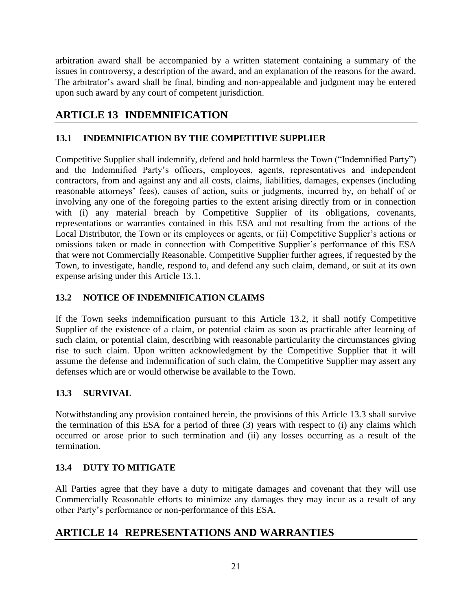arbitration award shall be accompanied by a written statement containing a summary of the issues in controversy, a description of the award, and an explanation of the reasons for the award. The arbitrator's award shall be final, binding and non-appealable and judgment may be entered upon such award by any court of competent jurisdiction.

# **ARTICLE 13 INDEMNIFICATION**

## **13.1 INDEMNIFICATION BY THE COMPETITIVE SUPPLIER**

Competitive Supplier shall indemnify, defend and hold harmless the Town ("Indemnified Party") and the Indemnified Party's officers, employees, agents, representatives and independent contractors, from and against any and all costs, claims, liabilities, damages, expenses (including reasonable attorneys' fees), causes of action, suits or judgments, incurred by, on behalf of or involving any one of the foregoing parties to the extent arising directly from or in connection with (i) any material breach by Competitive Supplier of its obligations, covenants, representations or warranties contained in this ESA and not resulting from the actions of the Local Distributor, the Town or its employees or agents, or (ii) Competitive Supplier's actions or omissions taken or made in connection with Competitive Supplier's performance of this ESA that were not Commercially Reasonable. Competitive Supplier further agrees, if requested by the Town, to investigate, handle, respond to, and defend any such claim, demand, or suit at its own expense arising under this Article 13.1.

## **13.2 NOTICE OF INDEMNIFICATION CLAIMS**

If the Town seeks indemnification pursuant to this Article 13.2, it shall notify Competitive Supplier of the existence of a claim, or potential claim as soon as practicable after learning of such claim, or potential claim, describing with reasonable particularity the circumstances giving rise to such claim. Upon written acknowledgment by the Competitive Supplier that it will assume the defense and indemnification of such claim, the Competitive Supplier may assert any defenses which are or would otherwise be available to the Town.

## **13.3 SURVIVAL**

Notwithstanding any provision contained herein, the provisions of this Article 13.3 shall survive the termination of this ESA for a period of three (3) years with respect to (i) any claims which occurred or arose prior to such termination and (ii) any losses occurring as a result of the termination.

## **13.4 DUTY TO MITIGATE**

All Parties agree that they have a duty to mitigate damages and covenant that they will use Commercially Reasonable efforts to minimize any damages they may incur as a result of any other Party's performance or non-performance of this ESA.

# **ARTICLE 14 REPRESENTATIONS AND WARRANTIES**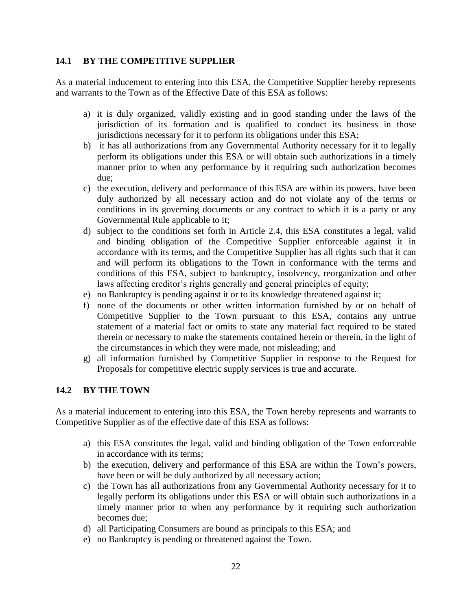### **14.1 BY THE COMPETITIVE SUPPLIER**

As a material inducement to entering into this ESA, the Competitive Supplier hereby represents and warrants to the Town as of the Effective Date of this ESA as follows:

- a) it is duly organized, validly existing and in good standing under the laws of the jurisdiction of its formation and is qualified to conduct its business in those jurisdictions necessary for it to perform its obligations under this ESA;
- b) it has all authorizations from any Governmental Authority necessary for it to legally perform its obligations under this ESA or will obtain such authorizations in a timely manner prior to when any performance by it requiring such authorization becomes due;
- c) the execution, delivery and performance of this ESA are within its powers, have been duly authorized by all necessary action and do not violate any of the terms or conditions in its governing documents or any contract to which it is a party or any Governmental Rule applicable to it;
- d) subject to the conditions set forth in Article 2.4, this ESA constitutes a legal, valid and binding obligation of the Competitive Supplier enforceable against it in accordance with its terms, and the Competitive Supplier has all rights such that it can and will perform its obligations to the Town in conformance with the terms and conditions of this ESA, subject to bankruptcy, insolvency, reorganization and other laws affecting creditor's rights generally and general principles of equity;
- e) no Bankruptcy is pending against it or to its knowledge threatened against it;
- f) none of the documents or other written information furnished by or on behalf of Competitive Supplier to the Town pursuant to this ESA, contains any untrue statement of a material fact or omits to state any material fact required to be stated therein or necessary to make the statements contained herein or therein, in the light of the circumstances in which they were made, not misleading; and
- g) all information furnished by Competitive Supplier in response to the Request for Proposals for competitive electric supply services is true and accurate.

### **14.2 BY THE TOWN**

As a material inducement to entering into this ESA, the Town hereby represents and warrants to Competitive Supplier as of the effective date of this ESA as follows:

- a) this ESA constitutes the legal, valid and binding obligation of the Town enforceable in accordance with its terms;
- b) the execution, delivery and performance of this ESA are within the Town's powers, have been or will be duly authorized by all necessary action;
- c) the Town has all authorizations from any Governmental Authority necessary for it to legally perform its obligations under this ESA or will obtain such authorizations in a timely manner prior to when any performance by it requiring such authorization becomes due;
- d) all Participating Consumers are bound as principals to this ESA; and
- e) no Bankruptcy is pending or threatened against the Town.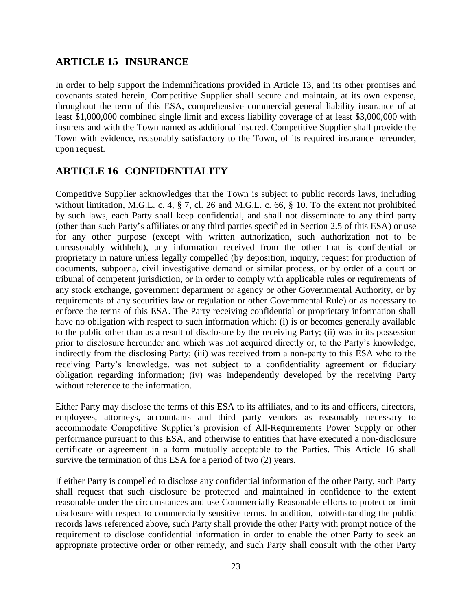## **ARTICLE 15 INSURANCE**

In order to help support the indemnifications provided in Article 13, and its other promises and covenants stated herein, Competitive Supplier shall secure and maintain, at its own expense, throughout the term of this ESA, comprehensive commercial general liability insurance of at least \$1,000,000 combined single limit and excess liability coverage of at least \$3,000,000 with insurers and with the Town named as additional insured. Competitive Supplier shall provide the Town with evidence, reasonably satisfactory to the Town, of its required insurance hereunder, upon request.

# **ARTICLE 16 CONFIDENTIALITY**

Competitive Supplier acknowledges that the Town is subject to public records laws, including without limitation, M.G.L. c. 4, § 7, cl. 26 and M.G.L. c. 66, § 10. To the extent not prohibited by such laws, each Party shall keep confidential, and shall not disseminate to any third party (other than such Party's affiliates or any third parties specified in Section 2.5 of this ESA) or use for any other purpose (except with written authorization, such authorization not to be unreasonably withheld), any information received from the other that is confidential or proprietary in nature unless legally compelled (by deposition, inquiry, request for production of documents, subpoena, civil investigative demand or similar process, or by order of a court or tribunal of competent jurisdiction, or in order to comply with applicable rules or requirements of any stock exchange, government department or agency or other Governmental Authority, or by requirements of any securities law or regulation or other Governmental Rule) or as necessary to enforce the terms of this ESA. The Party receiving confidential or proprietary information shall have no obligation with respect to such information which: (i) is or becomes generally available to the public other than as a result of disclosure by the receiving Party; (ii) was in its possession prior to disclosure hereunder and which was not acquired directly or, to the Party's knowledge, indirectly from the disclosing Party; (iii) was received from a non-party to this ESA who to the receiving Party's knowledge, was not subject to a confidentiality agreement or fiduciary obligation regarding information; (iv) was independently developed by the receiving Party without reference to the information.

Either Party may disclose the terms of this ESA to its affiliates, and to its and officers, directors, employees, attorneys, accountants and third party vendors as reasonably necessary to accommodate Competitive Supplier's provision of All-Requirements Power Supply or other performance pursuant to this ESA, and otherwise to entities that have executed a non-disclosure certificate or agreement in a form mutually acceptable to the Parties. This Article 16 shall survive the termination of this ESA for a period of two (2) years.

If either Party is compelled to disclose any confidential information of the other Party, such Party shall request that such disclosure be protected and maintained in confidence to the extent reasonable under the circumstances and use Commercially Reasonable efforts to protect or limit disclosure with respect to commercially sensitive terms. In addition, notwithstanding the public records laws referenced above, such Party shall provide the other Party with prompt notice of the requirement to disclose confidential information in order to enable the other Party to seek an appropriate protective order or other remedy, and such Party shall consult with the other Party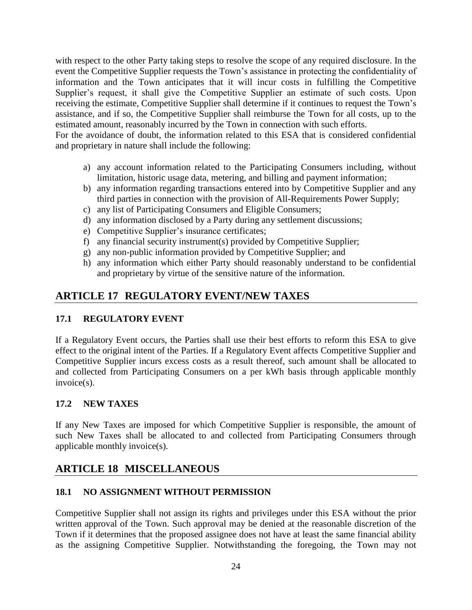with respect to the other Party taking steps to resolve the scope of any required disclosure. In the event the Competitive Supplier requests the Town's assistance in protecting the confidentiality of information and the Town anticipates that it will incur costs in fulfilling the Competitive Supplier's request, it shall give the Competitive Supplier an estimate of such costs. Upon receiving the estimate, Competitive Supplier shall determine if it continues to request the Town's assistance, and if so, the Competitive Supplier shall reimburse the Town for all costs, up to the estimated amount, reasonably incurred by the Town in connection with such efforts.

For the avoidance of doubt, the information related to this ESA that is considered confidential and proprietary in nature shall include the following:

- a) any account information related to the Participating Consumers including, without limitation, historic usage data, metering, and billing and payment information;
- b) any information regarding transactions entered into by Competitive Supplier and any third parties in connection with the provision of All-Requirements Power Supply;
- c) any list of Participating Consumers and Eligible Consumers;
- d) any information disclosed by a Party during any settlement discussions;
- e) Competitive Supplier's insurance certificates;
- f) any financial security instrument(s) provided by Competitive Supplier;
- g) any non-public information provided by Competitive Supplier; and
- h) any information which either Party should reasonably understand to be confidential and proprietary by virtue of the sensitive nature of the information.

# **ARTICLE 17 REGULATORY EVENT/NEW TAXES**

## **17.1 REGULATORY EVENT**

If a Regulatory Event occurs, the Parties shall use their best efforts to reform this ESA to give effect to the original intent of the Parties. If a Regulatory Event affects Competitive Supplier and Competitive Supplier incurs excess costs as a result thereof, such amount shall be allocated to and collected from Participating Consumers on a per kWh basis through applicable monthly invoice(s).

## **17.2 NEW TAXES**

If any New Taxes are imposed for which Competitive Supplier is responsible, the amount of such New Taxes shall be allocated to and collected from Participating Consumers through applicable monthly invoice(s).

# **ARTICLE 18 MISCELLANEOUS**

## **18.1 NO ASSIGNMENT WITHOUT PERMISSION**

Competitive Supplier shall not assign its rights and privileges under this ESA without the prior written approval of the Town. Such approval may be denied at the reasonable discretion of the Town if it determines that the proposed assignee does not have at least the same financial ability as the assigning Competitive Supplier. Notwithstanding the foregoing, the Town may not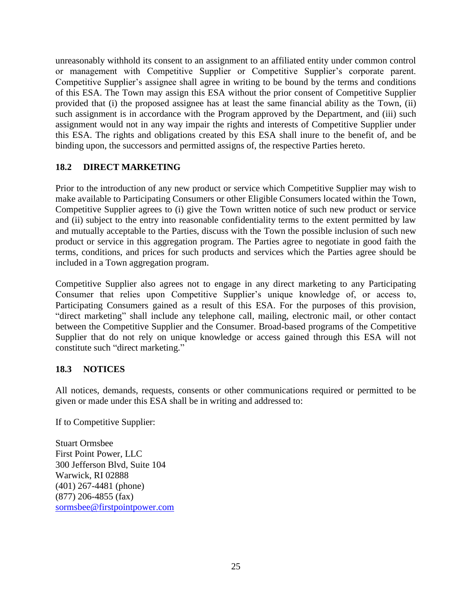unreasonably withhold its consent to an assignment to an affiliated entity under common control or management with Competitive Supplier or Competitive Supplier's corporate parent. Competitive Supplier's assignee shall agree in writing to be bound by the terms and conditions of this ESA. The Town may assign this ESA without the prior consent of Competitive Supplier provided that (i) the proposed assignee has at least the same financial ability as the Town, (ii) such assignment is in accordance with the Program approved by the Department, and (iii) such assignment would not in any way impair the rights and interests of Competitive Supplier under this ESA. The rights and obligations created by this ESA shall inure to the benefit of, and be binding upon, the successors and permitted assigns of, the respective Parties hereto.

## **18.2 DIRECT MARKETING**

Prior to the introduction of any new product or service which Competitive Supplier may wish to make available to Participating Consumers or other Eligible Consumers located within the Town, Competitive Supplier agrees to (i) give the Town written notice of such new product or service and (ii) subject to the entry into reasonable confidentiality terms to the extent permitted by law and mutually acceptable to the Parties, discuss with the Town the possible inclusion of such new product or service in this aggregation program. The Parties agree to negotiate in good faith the terms, conditions, and prices for such products and services which the Parties agree should be included in a Town aggregation program.

Competitive Supplier also agrees not to engage in any direct marketing to any Participating Consumer that relies upon Competitive Supplier's unique knowledge of, or access to, Participating Consumers gained as a result of this ESA. For the purposes of this provision, "direct marketing" shall include any telephone call, mailing, electronic mail, or other contact between the Competitive Supplier and the Consumer. Broad-based programs of the Competitive Supplier that do not rely on unique knowledge or access gained through this ESA will not constitute such "direct marketing."

### **18.3 NOTICES**

All notices, demands, requests, consents or other communications required or permitted to be given or made under this ESA shall be in writing and addressed to:

If to Competitive Supplier:

Stuart Ormsbee First Point Power, LLC 300 Jefferson Blvd, Suite 104 Warwick, RI 02888 (401) 267-4481 (phone) (877) 206-4855 (fax) sormsbee@firstpointpower.com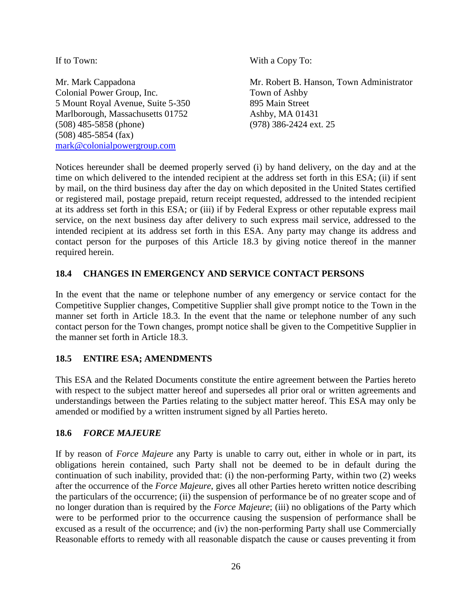If to Town: With a Copy To: Mr. Mark Cappadona Mr. Robert B. Hanson, Town Administrator Colonial Power Group, Inc. Town of Ashby 5 Mount Royal Avenue, Suite 5-350 895 Main Street Marlborough, Massachusetts 01752 Ashby, MA 01431 (508) 485-5858 (phone) (978) 386-2424 ext. 25 (508) 485-5854 (fax) mark@colonialpowergroup.com

Notices hereunder shall be deemed properly served (i) by hand delivery, on the day and at the time on which delivered to the intended recipient at the address set forth in this ESA; (ii) if sent by mail, on the third business day after the day on which deposited in the United States certified or registered mail, postage prepaid, return receipt requested, addressed to the intended recipient at its address set forth in this ESA; or (iii) if by Federal Express or other reputable express mail service, on the next business day after delivery to such express mail service, addressed to the intended recipient at its address set forth in this ESA. Any party may change its address and contact person for the purposes of this Article 18.3 by giving notice thereof in the manner required herein.

### **18.4 CHANGES IN EMERGENCY AND SERVICE CONTACT PERSONS**

In the event that the name or telephone number of any emergency or service contact for the Competitive Supplier changes, Competitive Supplier shall give prompt notice to the Town in the manner set forth in Article 18.3. In the event that the name or telephone number of any such contact person for the Town changes, prompt notice shall be given to the Competitive Supplier in the manner set forth in Article 18.3.

### **18.5 ENTIRE ESA; AMENDMENTS**

This ESA and the Related Documents constitute the entire agreement between the Parties hereto with respect to the subject matter hereof and supersedes all prior oral or written agreements and understandings between the Parties relating to the subject matter hereof. This ESA may only be amended or modified by a written instrument signed by all Parties hereto.

### **18.6** *FORCE MAJEURE*

If by reason of *Force Majeure* any Party is unable to carry out, either in whole or in part, its obligations herein contained, such Party shall not be deemed to be in default during the continuation of such inability, provided that: (i) the non-performing Party, within two (2) weeks after the occurrence of the *Force Majeure*, gives all other Parties hereto written notice describing the particulars of the occurrence; (ii) the suspension of performance be of no greater scope and of no longer duration than is required by the *Force Majeure*; (iii) no obligations of the Party which were to be performed prior to the occurrence causing the suspension of performance shall be excused as a result of the occurrence; and (iv) the non-performing Party shall use Commercially Reasonable efforts to remedy with all reasonable dispatch the cause or causes preventing it from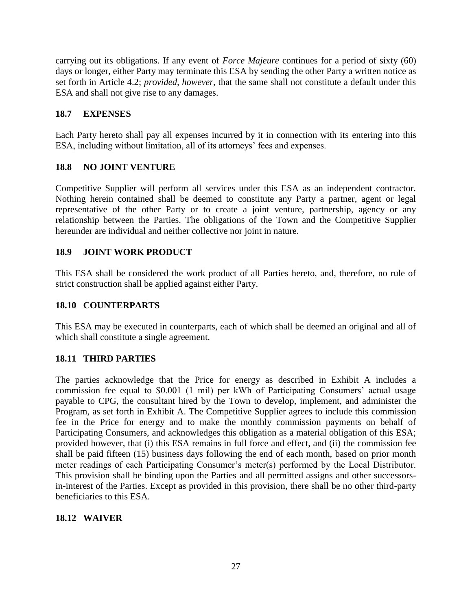carrying out its obligations. If any event of *Force Majeure* continues for a period of sixty (60) days or longer, either Party may terminate this ESA by sending the other Party a written notice as set forth in Article 4.2; *provided, however*, that the same shall not constitute a default under this ESA and shall not give rise to any damages.

## **18.7 EXPENSES**

Each Party hereto shall pay all expenses incurred by it in connection with its entering into this ESA, including without limitation, all of its attorneys' fees and expenses.

## **18.8 NO JOINT VENTURE**

Competitive Supplier will perform all services under this ESA as an independent contractor. Nothing herein contained shall be deemed to constitute any Party a partner, agent or legal representative of the other Party or to create a joint venture, partnership, agency or any relationship between the Parties. The obligations of the Town and the Competitive Supplier hereunder are individual and neither collective nor joint in nature.

## **18.9 JOINT WORK PRODUCT**

This ESA shall be considered the work product of all Parties hereto, and, therefore, no rule of strict construction shall be applied against either Party.

### **18.10 COUNTERPARTS**

This ESA may be executed in counterparts, each of which shall be deemed an original and all of which shall constitute a single agreement.

### **18.11 THIRD PARTIES**

The parties acknowledge that the Price for energy as described in Exhibit A includes a commission fee equal to \$0.001 (1 mil) per kWh of Participating Consumers' actual usage payable to CPG, the consultant hired by the Town to develop, implement, and administer the Program, as set forth in Exhibit A. The Competitive Supplier agrees to include this commission fee in the Price for energy and to make the monthly commission payments on behalf of Participating Consumers, and acknowledges this obligation as a material obligation of this ESA; provided however, that (i) this ESA remains in full force and effect, and (ii) the commission fee shall be paid fifteen (15) business days following the end of each month, based on prior month meter readings of each Participating Consumer's meter(s) performed by the Local Distributor. This provision shall be binding upon the Parties and all permitted assigns and other successorsin-interest of the Parties. Except as provided in this provision, there shall be no other third-party beneficiaries to this ESA.

### **18.12 WAIVER**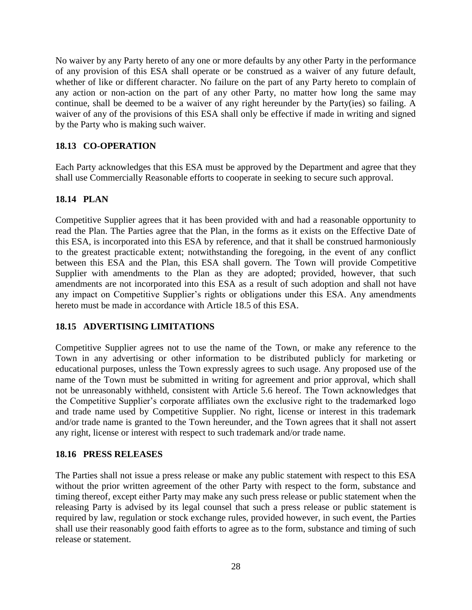No waiver by any Party hereto of any one or more defaults by any other Party in the performance of any provision of this ESA shall operate or be construed as a waiver of any future default, whether of like or different character. No failure on the part of any Party hereto to complain of any action or non-action on the part of any other Party, no matter how long the same may continue, shall be deemed to be a waiver of any right hereunder by the Party(ies) so failing. A waiver of any of the provisions of this ESA shall only be effective if made in writing and signed by the Party who is making such waiver.

### **18.13 CO-OPERATION**

Each Party acknowledges that this ESA must be approved by the Department and agree that they shall use Commercially Reasonable efforts to cooperate in seeking to secure such approval.

### **18.14 PLAN**

Competitive Supplier agrees that it has been provided with and had a reasonable opportunity to read the Plan. The Parties agree that the Plan, in the forms as it exists on the Effective Date of this ESA, is incorporated into this ESA by reference, and that it shall be construed harmoniously to the greatest practicable extent; notwithstanding the foregoing, in the event of any conflict between this ESA and the Plan, this ESA shall govern. The Town will provide Competitive Supplier with amendments to the Plan as they are adopted; provided, however, that such amendments are not incorporated into this ESA as a result of such adoption and shall not have any impact on Competitive Supplier's rights or obligations under this ESA. Any amendments hereto must be made in accordance with Article 18.5 of this ESA.

### **18.15 ADVERTISING LIMITATIONS**

Competitive Supplier agrees not to use the name of the Town, or make any reference to the Town in any advertising or other information to be distributed publicly for marketing or educational purposes, unless the Town expressly agrees to such usage. Any proposed use of the name of the Town must be submitted in writing for agreement and prior approval, which shall not be unreasonably withheld, consistent with Article 5.6 hereof. The Town acknowledges that the Competitive Supplier's corporate affiliates own the exclusive right to the trademarked logo and trade name used by Competitive Supplier. No right, license or interest in this trademark and/or trade name is granted to the Town hereunder, and the Town agrees that it shall not assert any right, license or interest with respect to such trademark and/or trade name.

### **18.16 PRESS RELEASES**

The Parties shall not issue a press release or make any public statement with respect to this ESA without the prior written agreement of the other Party with respect to the form, substance and timing thereof, except either Party may make any such press release or public statement when the releasing Party is advised by its legal counsel that such a press release or public statement is required by law, regulation or stock exchange rules, provided however, in such event, the Parties shall use their reasonably good faith efforts to agree as to the form, substance and timing of such release or statement.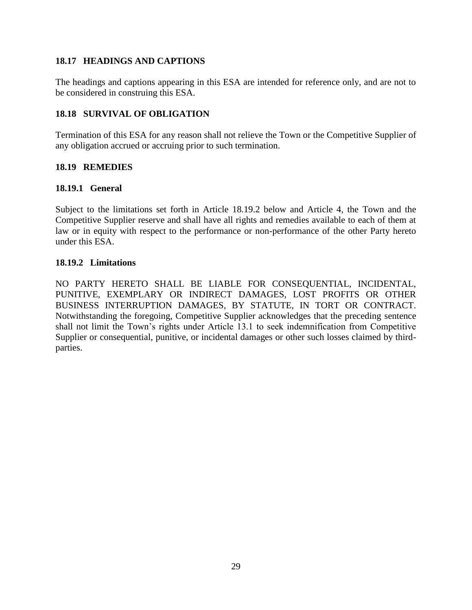### **18.17 HEADINGS AND CAPTIONS**

The headings and captions appearing in this ESA are intended for reference only, and are not to be considered in construing this ESA.

### **18.18 SURVIVAL OF OBLIGATION**

Termination of this ESA for any reason shall not relieve the Town or the Competitive Supplier of any obligation accrued or accruing prior to such termination.

### **18.19 REMEDIES**

### **18.19.1 General**

Subject to the limitations set forth in Article 18.19.2 below and Article 4, the Town and the Competitive Supplier reserve and shall have all rights and remedies available to each of them at law or in equity with respect to the performance or non-performance of the other Party hereto under this ESA.

### **18.19.2 Limitations**

NO PARTY HERETO SHALL BE LIABLE FOR CONSEQUENTIAL, INCIDENTAL, PUNITIVE, EXEMPLARY OR INDIRECT DAMAGES, LOST PROFITS OR OTHER BUSINESS INTERRUPTION DAMAGES, BY STATUTE, IN TORT OR CONTRACT. Notwithstanding the foregoing, Competitive Supplier acknowledges that the preceding sentence shall not limit the Town's rights under Article 13.1 to seek indemnification from Competitive Supplier or consequential, punitive, or incidental damages or other such losses claimed by thirdparties.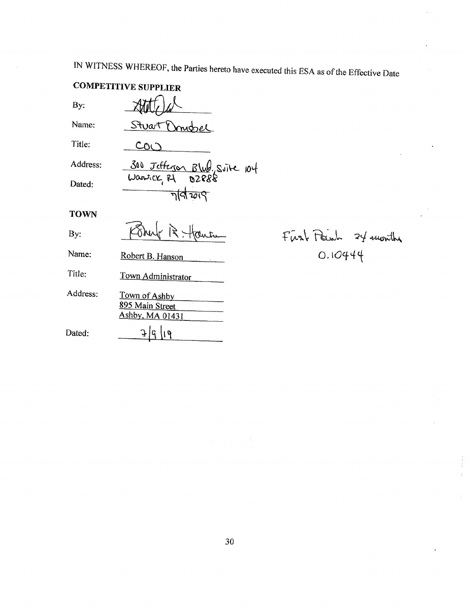IN WITNESS WHEREOF, the Parties hereto have executed this ESA as of the Effective Date

## **COMPETITIVE SUPPLIER**

By:

Stuart Domobel

Name: Title:

Address:

Dated:

 $coO$ 300 Jefferson Blud. Suite 104 নবি ফাৎ

**TOWN** 

By:

Name: Robert B. Hanson

Title: Town Administrator

Address: Town of Ashby 895 Main Street Ashby, MA 01431 Dated:  $\frac{1}{4}$ ជ្រ  $\mathfrak{g}$ 

First Peinh 24 months  $0.10444$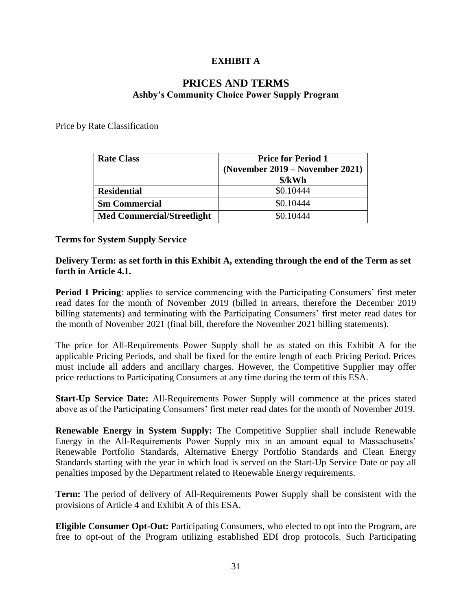## **EXHIBIT A**

## **PRICES AND TERMS Ashby's Community Choice Power Supply Program**

Price by Rate Classification

| <b>Rate Class</b>                 | <b>Price for Period 1</b><br>(November 2019 – November 2021)<br>$\frac{\delta}{kWh}$ |
|-----------------------------------|--------------------------------------------------------------------------------------|
| <b>Residential</b>                | \$0.10444                                                                            |
| <b>Sm Commercial</b>              | \$0.10444                                                                            |
| <b>Med Commercial/Streetlight</b> | \$0.10444                                                                            |

### **Terms for System Supply Service**

### **Delivery Term: as set forth in this Exhibit A, extending through the end of the Term as set forth in Article 4.1.**

**Period 1 Pricing**: applies to service commencing with the Participating Consumers' first meter read dates for the month of November 2019 (billed in arrears, therefore the December 2019 billing statements) and terminating with the Participating Consumers' first meter read dates for the month of November 2021 (final bill, therefore the November 2021 billing statements).

The price for All-Requirements Power Supply shall be as stated on this Exhibit A for the applicable Pricing Periods, and shall be fixed for the entire length of each Pricing Period. Prices must include all adders and ancillary charges. However, the Competitive Supplier may offer price reductions to Participating Consumers at any time during the term of this ESA.

**Start-Up Service Date:** All-Requirements Power Supply will commence at the prices stated above as of the Participating Consumers' first meter read dates for the month of November 2019.

**Renewable Energy in System Supply:** The Competitive Supplier shall include Renewable Energy in the All-Requirements Power Supply mix in an amount equal to Massachusetts' Renewable Portfolio Standards, Alternative Energy Portfolio Standards and Clean Energy Standards starting with the year in which load is served on the Start-Up Service Date or pay all penalties imposed by the Department related to Renewable Energy requirements.

**Term:** The period of delivery of All-Requirements Power Supply shall be consistent with the provisions of Article 4 and Exhibit A of this ESA.

**Eligible Consumer Opt-Out:** Participating Consumers, who elected to opt into the Program, are free to opt-out of the Program utilizing established EDI drop protocols. Such Participating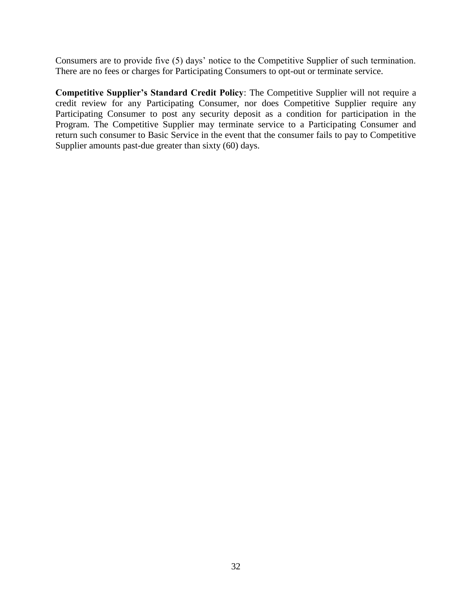Consumers are to provide five (5) days' notice to the Competitive Supplier of such termination. There are no fees or charges for Participating Consumers to opt-out or terminate service.

**Competitive Supplier's Standard Credit Policy**: The Competitive Supplier will not require a credit review for any Participating Consumer, nor does Competitive Supplier require any Participating Consumer to post any security deposit as a condition for participation in the Program. The Competitive Supplier may terminate service to a Participating Consumer and return such consumer to Basic Service in the event that the consumer fails to pay to Competitive Supplier amounts past-due greater than sixty (60) days.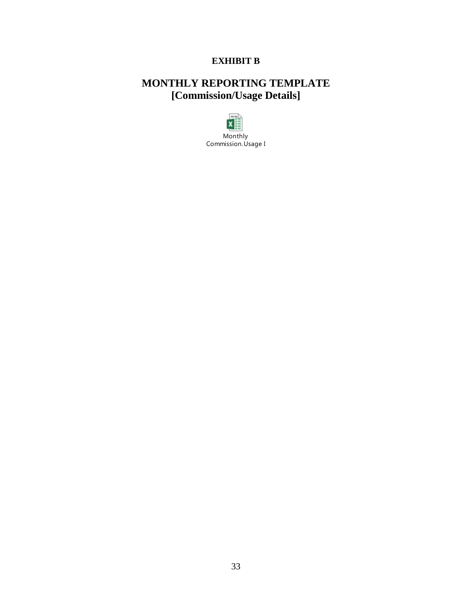## **EXHIBIT B**

# **MONTHLY REPORTING TEMPLATE [Commission/Usage Details]**

 $\sim$  $x \equiv$ Monthly Commission.Usage I